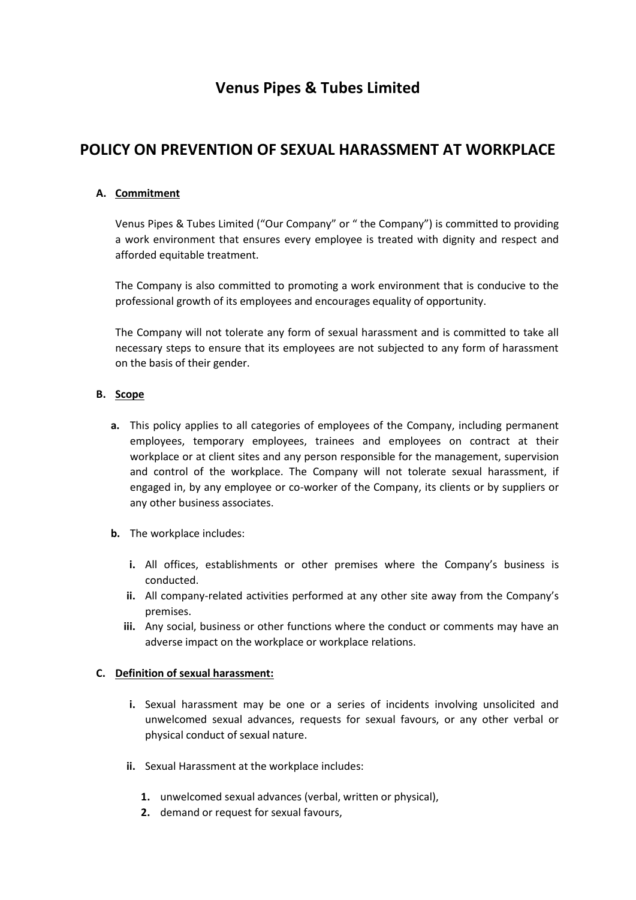# **Venus Pipes & Tubes Limited**

# **POLICY ON PREVENTION OF SEXUAL HARASSMENT AT WORKPLACE**

# **A. Commitment**

Venus Pipes & Tubes Limited ("Our Company" or " the Company") is committed to providing a work environment that ensures every employee is treated with dignity and respect and afforded equitable treatment.

The Company is also committed to promoting a work environment that is conducive to the professional growth of its employees and encourages equality of opportunity.

The Company will not tolerate any form of sexual harassment and is committed to take all necessary steps to ensure that its employees are not subjected to any form of harassment on the basis of their gender.

## **B. Scope**

- **a.** This policy applies to all categories of employees of the Company, including permanent employees, temporary employees, trainees and employees on contract at their workplace or at client sites and any person responsible for the management, supervision and control of the workplace. The Company will not tolerate sexual harassment, if engaged in, by any employee or co-worker of the Company, its clients or by suppliers or any other business associates.
- **b.** The workplace includes:
	- **i.** All offices, establishments or other premises where the Company's business is conducted.
	- **ii.** All company-related activities performed at any other site away from the Company's premises.
	- **iii.** Any social, business or other functions where the conduct or comments may have an adverse impact on the workplace or workplace relations.

## **C. Definition of sexual harassment:**

- **i.** Sexual harassment may be one or a series of incidents involving unsolicited and unwelcomed sexual advances, requests for sexual favours, or any other verbal or physical conduct of sexual nature.
- **ii.** Sexual Harassment at the workplace includes:
	- **1.** unwelcomed sexual advances (verbal, written or physical),
	- **2.** demand or request for sexual favours,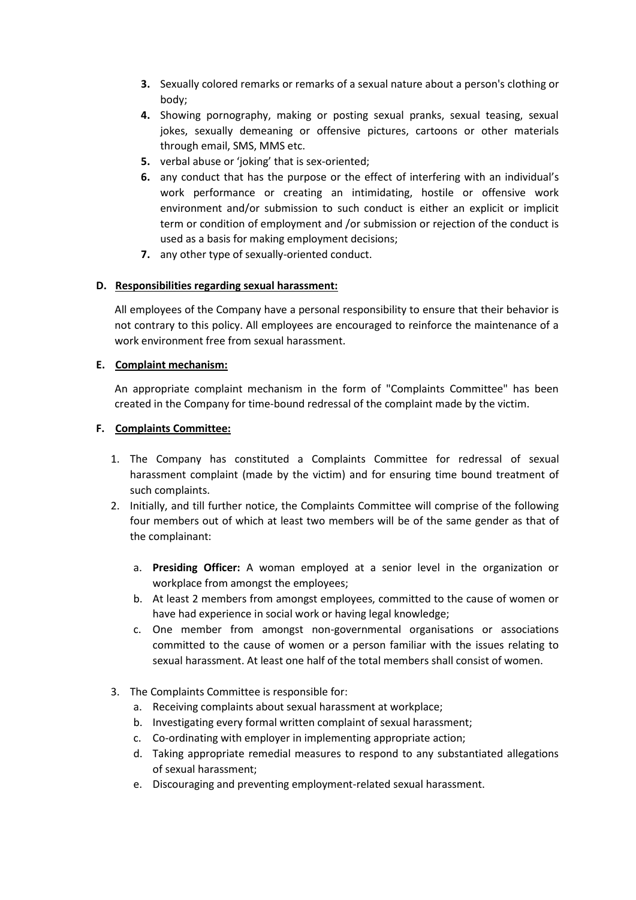- **3.** Sexually colored remarks or remarks of a sexual nature about a person's clothing or body;
- **4.** Showing pornography, making or posting sexual pranks, sexual teasing, sexual jokes, sexually demeaning or offensive pictures, cartoons or other materials through email, SMS, MMS etc.
- **5.** verbal abuse or 'joking' that is sex-oriented;
- **6.** any conduct that has the purpose or the effect of interfering with an individual's work performance or creating an intimidating, hostile or offensive work environment and/or submission to such conduct is either an explicit or implicit term or condition of employment and /or submission or rejection of the conduct is used as a basis for making employment decisions;
- **7.** any other type of sexually-oriented conduct.

## **D. Responsibilities regarding sexual harassment:**

All employees of the Company have a personal responsibility to ensure that their behavior is not contrary to this policy. All employees are encouraged to reinforce the maintenance of a work environment free from sexual harassment.

## **E. Complaint mechanism:**

An appropriate complaint mechanism in the form of "Complaints Committee" has been created in the Company for time-bound redressal of the complaint made by the victim.

## **F. Complaints Committee:**

- 1. The Company has constituted a Complaints Committee for redressal of sexual harassment complaint (made by the victim) and for ensuring time bound treatment of such complaints.
- 2. Initially, and till further notice, the Complaints Committee will comprise of the following four members out of which at least two members will be of the same gender as that of the complainant:
	- a. **Presiding Officer:** A woman employed at a senior level in the organization or workplace from amongst the employees;
	- b. At least 2 members from amongst employees, committed to the cause of women or have had experience in social work or having legal knowledge;
	- c. One member from amongst non-governmental organisations or associations committed to the cause of women or a person familiar with the issues relating to sexual harassment. At least one half of the total members shall consist of women.
- 3. The Complaints Committee is responsible for:
	- a. Receiving complaints about sexual harassment at workplace;
	- b. Investigating every formal written complaint of sexual harassment;
	- c. Co-ordinating with employer in implementing appropriate action;
	- d. Taking appropriate remedial measures to respond to any substantiated allegations of sexual harassment;
	- e. Discouraging and preventing employment-related sexual harassment.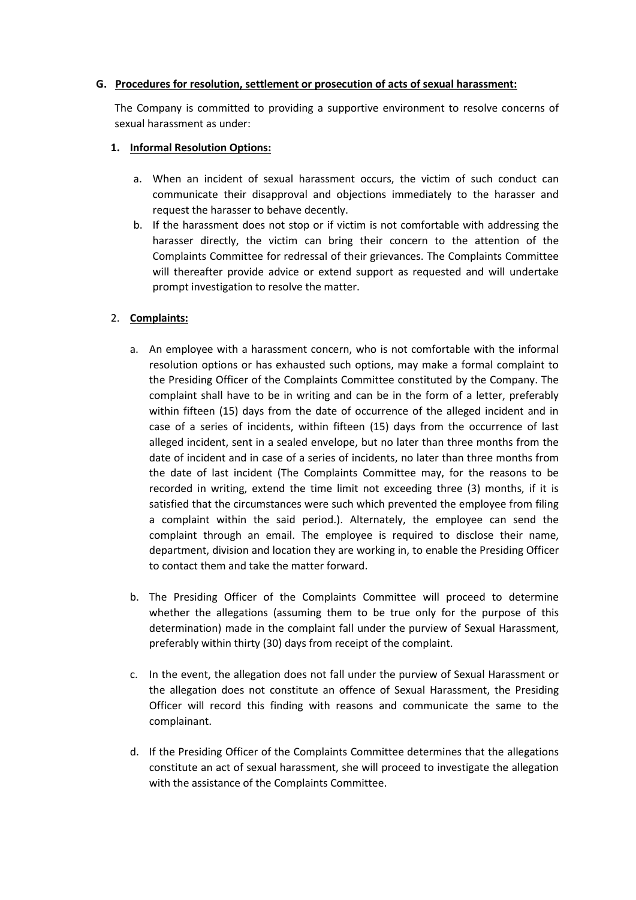#### **G. Procedures for resolution, settlement or prosecution of acts of sexual harassment:**

The Company is committed to providing a supportive environment to resolve concerns of sexual harassment as under:

#### **1. Informal Resolution Options:**

- a. When an incident of sexual harassment occurs, the victim of such conduct can communicate their disapproval and objections immediately to the harasser and request the harasser to behave decently.
- b. If the harassment does not stop or if victim is not comfortable with addressing the harasser directly, the victim can bring their concern to the attention of the Complaints Committee for redressal of their grievances. The Complaints Committee will thereafter provide advice or extend support as requested and will undertake prompt investigation to resolve the matter.

## 2. **Complaints:**

- a. An employee with a harassment concern, who is not comfortable with the informal resolution options or has exhausted such options, may make a formal complaint to the Presiding Officer of the Complaints Committee constituted by the Company. The complaint shall have to be in writing and can be in the form of a letter, preferably within fifteen (15) days from the date of occurrence of the alleged incident and in case of a series of incidents, within fifteen (15) days from the occurrence of last alleged incident, sent in a sealed envelope, but no later than three months from the date of incident and in case of a series of incidents, no later than three months from the date of last incident (The Complaints Committee may, for the reasons to be recorded in writing, extend the time limit not exceeding three (3) months, if it is satisfied that the circumstances were such which prevented the employee from filing a complaint within the said period.). Alternately, the employee can send the complaint through an email. The employee is required to disclose their name, department, division and location they are working in, to enable the Presiding Officer to contact them and take the matter forward.
- b. The Presiding Officer of the Complaints Committee will proceed to determine whether the allegations (assuming them to be true only for the purpose of this determination) made in the complaint fall under the purview of Sexual Harassment, preferably within thirty (30) days from receipt of the complaint.
- c. In the event, the allegation does not fall under the purview of Sexual Harassment or the allegation does not constitute an offence of Sexual Harassment, the Presiding Officer will record this finding with reasons and communicate the same to the complainant.
- d. If the Presiding Officer of the Complaints Committee determines that the allegations constitute an act of sexual harassment, she will proceed to investigate the allegation with the assistance of the Complaints Committee.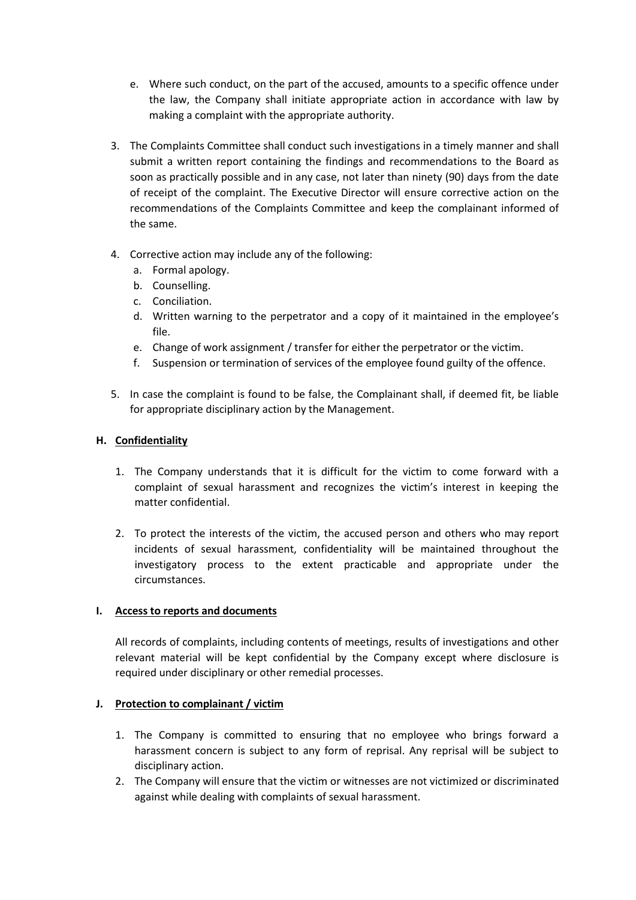- e. Where such conduct, on the part of the accused, amounts to a specific offence under the law, the Company shall initiate appropriate action in accordance with law by making a complaint with the appropriate authority.
- 3. The Complaints Committee shall conduct such investigations in a timely manner and shall submit a written report containing the findings and recommendations to the Board as soon as practically possible and in any case, not later than ninety (90) days from the date of receipt of the complaint. The Executive Director will ensure corrective action on the recommendations of the Complaints Committee and keep the complainant informed of the same.
- 4. Corrective action may include any of the following:
	- a. Formal apology.
	- b. Counselling.
	- c. Conciliation.
	- d. Written warning to the perpetrator and a copy of it maintained in the employee's file.
	- e. Change of work assignment / transfer for either the perpetrator or the victim.
	- f. Suspension or termination of services of the employee found guilty of the offence.
- 5. In case the complaint is found to be false, the Complainant shall, if deemed fit, be liable for appropriate disciplinary action by the Management.

## **H. Confidentiality**

- 1. The Company understands that it is difficult for the victim to come forward with a complaint of sexual harassment and recognizes the victim's interest in keeping the matter confidential.
- 2. To protect the interests of the victim, the accused person and others who may report incidents of sexual harassment, confidentiality will be maintained throughout the investigatory process to the extent practicable and appropriate under the circumstances.

## **I. Access to reports and documents**

All records of complaints, including contents of meetings, results of investigations and other relevant material will be kept confidential by the Company except where disclosure is required under disciplinary or other remedial processes.

## **J. Protection to complainant / victim**

- 1. The Company is committed to ensuring that no employee who brings forward a harassment concern is subject to any form of reprisal. Any reprisal will be subject to disciplinary action.
- 2. The Company will ensure that the victim or witnesses are not victimized or discriminated against while dealing with complaints of sexual harassment.